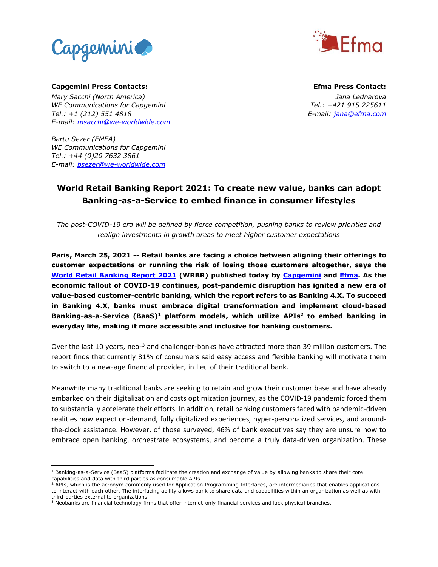



**Capgemini Press Contacts: Efma Press Contact:** *Mary Sacchi (North America) Jana Lednarova WE Communications for Capgemini Tel.: +421 915 225611 Tel.: +1 (212) 551 4818 E-mail: jana@efma.com E-mail: [msacchi@we-worldwide.com](mailto:msacchi@we-worldwide.com)*

*Bartu Sezer (EMEA) WE Communications for Capgemini Tel.: +44 (0)20 7632 3861 E-mail: [bsezer@we-worldwide.com](mailto:bsezer@we-worldwide.com)*

# **World Retail Banking Report 2021: To create new value, banks can adopt Banking-as-a-Service to embed finance in consumer lifestyles**

*The post-COVID-19 era will be defined by fierce competition, pushing banks to review priorities and realign investments in growth areas to meet higher customer expectations*

**Paris, March 25, 2021 -- Retail banks are facing a choice between aligning their offerings to customer expectations or running the risk of losing those customers altogether, says the [World Retail Banking Report](http://www.worldretailbankingreport.com/) 2021 (WRBR) published today by [Capgemini](http://www.capgemini.com/) and [Efma.](https://www.efma.com/) As the economic fallout of COVID-19 continues, post-pandemic disruption has ignited a new era of value-based customer-centric banking, which the report refers to as Banking 4.X. To succeed in Banking 4.X, banks must embrace digital transformation and implement cloud-based Banking-as-a-Service (BaaS)<sup>1</sup> platform models, which utilize APIs<sup>2</sup> to embed banking in everyday life, making it more accessible and inclusive for banking customers.** 

Over the last 10 years, neo-<sup>3</sup> and challenger-banks have attracted more than 39 million customers. The report finds that currently 81% of consumers said easy access and flexible banking will motivate them to switch to a new-age financial provider, in lieu of their traditional bank.

Meanwhile many traditional banks are seeking to retain and grow their customer base and have already embarked on their digitalization and costs optimization journey, as the COVID-19 pandemic forced them to substantially accelerate their efforts. In addition, retail banking customers faced with pandemic-driven realities now expect on-demand, fully digitalized experiences, hyper-personalized services, and aroundthe-clock assistance. However, of those surveyed, 46% of bank executives say they are unsure how to embrace open banking, orchestrate ecosystems, and become a truly data-driven organization. These

 $\overline{\phantom{a}}$  $1$  Banking-as-a-Service (BaaS) platforms facilitate the creation and exchange of value by allowing banks to share their core capabilities and data with third parties as consumable APIs.

<sup>2</sup> APIs, which is the acronym commonly used for Application Programming Interfaces, are intermediaries that enables applications to interact with each other. The interfacing ability allows bank to share data and capabilities within an organization as well as with third-parties external to organizations.

<sup>&</sup>lt;sup>3</sup> Neobanks are financial technology firms that offer internet-only financial services and lack physical branches.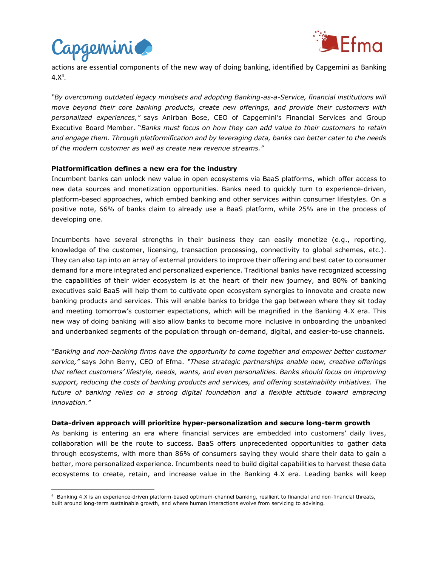

 $\overline{\phantom{a}}$ 



actions are essential components of the new way of doing banking, identified by Capgemini as Banking  $4.X^4$ .

*"By overcoming outdated legacy mindsets and adopting Banking-as-a-Service, financial institutions will move beyond their core banking products, create new offerings, and provide their customers with personalized experiences,"* says Anirban Bose, CEO of Capgemini's Financial Services and Group Executive Board Member. "*Banks must focus on how they can add value to their customers to retain and engage them. Through platformification and by leveraging data, banks can better cater to the needs of the modern customer as well as create new revenue streams."*

## **Platformification defines a new era for the industry**

Incumbent banks can unlock new value in open ecosystems via BaaS platforms, which offer access to new data sources and monetization opportunities. Banks need to quickly turn to experience-driven, platform-based approaches, which embed banking and other services within consumer lifestyles. On a positive note, 66% of banks claim to already use a BaaS platform, while 25% are in the process of developing one.

Incumbents have several strengths in their business they can easily monetize (e.g., reporting, knowledge of the customer, licensing, transaction processing, connectivity to global schemes, etc.). They can also tap into an array of external providers to improve their offering and best cater to consumer demand for a more integrated and personalized experience. Traditional banks have recognized accessing the capabilities of their wider ecosystem is at the heart of their new journey, and 80% of banking executives said BaaS will help them to cultivate open ecosystem synergies to innovate and create new banking products and services. This will enable banks to bridge the gap between where they sit today and meeting tomorrow's customer expectations, which will be magnified in the Banking 4.X era. This new way of doing banking will also allow banks to become more inclusive in onboarding the unbanked and underbanked segments of the population through on-demand, digital, and easier-to-use channels.

"*Banking and non-banking firms have the opportunity to come together and empower better customer service,"* says John Berry, CEO of Efma. *"These strategic partnerships enable new, creative offerings that reflect customers' lifestyle, needs, wants, and even personalities. Banks should focus on improving support, reducing the costs of banking products and services, and offering sustainability initiatives. The*  future of banking relies on a strong digital foundation and a flexible attitude toward embracing *innovation."*

#### **Data-driven approach will prioritize hyper-personalization and secure long-term growth**

As banking is entering an era where financial services are embedded into customers' daily lives, collaboration will be the route to success. BaaS offers unprecedented opportunities to gather data through ecosystems, with more than 86% of consumers saying they would share their data to gain a better, more personalized experience. Incumbents need to build digital capabilities to harvest these data ecosystems to create, retain, and increase value in the Banking 4.X era. Leading banks will keep

<sup>4</sup> Banking 4.X is an experience-driven platform-based optimum-channel banking, resilient to financial and non-financial threats, built around long-term sustainable growth, and where human interactions evolve from servicing to advising.